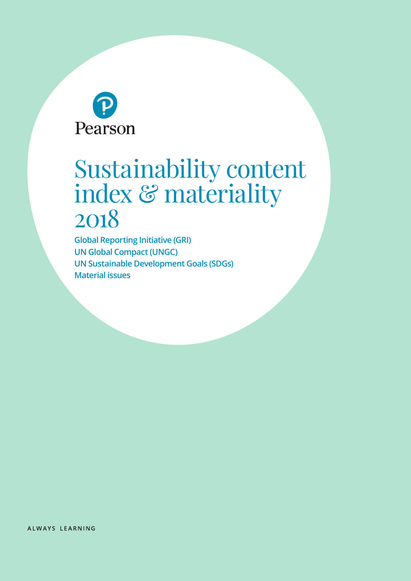

# Sustainability content index & materiality 2018

**Global Reporting Initiative (GRI) UN Global Compact (UNGC) UN Sustainable Development Goals (SDGs) Material issues**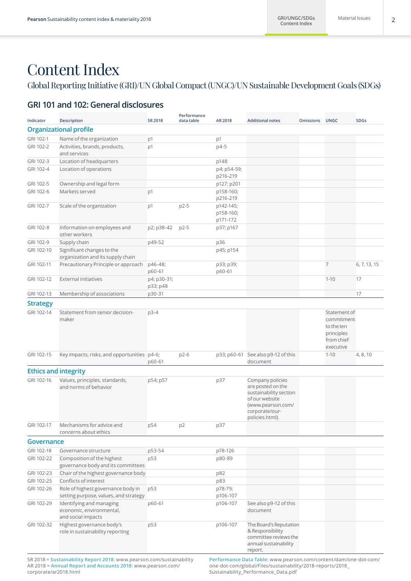# Content Index

### Global Reporting Initiative (GRI)/UN Global Compact (UNGC)/UN Sustainable Development Goals (SDGs)

### **GRI 101 and 102: General disclosures**

| Indicator                   | <b>Description</b>                                                                                                                     | <b>SR 2018</b>          | Performance<br>data table | AR 2018                            | <b>Additional notes</b>                                                                                                                                                     | <b>Omissions</b> | <b>UNGC</b>                                                                       | <b>SDGs</b>  |
|-----------------------------|----------------------------------------------------------------------------------------------------------------------------------------|-------------------------|---------------------------|------------------------------------|-----------------------------------------------------------------------------------------------------------------------------------------------------------------------------|------------------|-----------------------------------------------------------------------------------|--------------|
|                             | <b>Organizational profile</b>                                                                                                          |                         |                           |                                    |                                                                                                                                                                             |                  |                                                                                   |              |
| GRI 102-1                   | Name of the organization                                                                                                               | p1                      |                           | p1                                 |                                                                                                                                                                             |                  |                                                                                   |              |
| GRI 102-2                   | Activities, brands, products,<br>and services                                                                                          | p1                      |                           | p4-5                               |                                                                                                                                                                             |                  |                                                                                   |              |
| GRI 102-3                   | Location of headquarters                                                                                                               |                         |                           | p148                               |                                                                                                                                                                             |                  |                                                                                   |              |
| GRI 102-4                   | Location of operations                                                                                                                 |                         |                           | p4; p54-59;<br>p216-219            |                                                                                                                                                                             |                  |                                                                                   |              |
| GRI 102-5                   | Ownership and legal form                                                                                                               |                         |                           | p127; p201                         |                                                                                                                                                                             |                  |                                                                                   |              |
| GRI 102-6                   | Markets served                                                                                                                         | p1                      |                           | p158-160;<br>p216-219              |                                                                                                                                                                             |                  |                                                                                   |              |
| GRI 102-7                   | Scale of the organization                                                                                                              | p1                      | p2-5                      | p142-145;<br>p158-160;<br>p171-172 |                                                                                                                                                                             |                  |                                                                                   |              |
| GRI 102-8                   | Information on employees and<br>other workers                                                                                          | p2; p38-42              | $p2-5$                    | p37; p167                          |                                                                                                                                                                             |                  |                                                                                   |              |
| GRI 102-9                   | Supply chain                                                                                                                           | p49-52                  |                           | p36                                |                                                                                                                                                                             |                  |                                                                                   |              |
| GRI 102-10                  | Significant changes to the<br>organization and its supply chain                                                                        |                         |                           | p45; p154                          |                                                                                                                                                                             |                  |                                                                                   |              |
| GRI 102-11                  | Precautionary Principle or approach                                                                                                    | p46-48;<br>p60-61       |                           | p33; p39;<br>p60-61                |                                                                                                                                                                             |                  | $\overline{7}$                                                                    | 6, 7, 13, 15 |
| GRI 102-12                  | <b>External initiatives</b>                                                                                                            | p4; p30-31;<br>p33; p48 |                           |                                    |                                                                                                                                                                             |                  | $1 - 10$                                                                          | 17           |
| GRI 102-13                  | Membership of associations                                                                                                             | p30-31                  |                           |                                    |                                                                                                                                                                             |                  |                                                                                   | 17           |
| <b>Strategy</b>             |                                                                                                                                        |                         |                           |                                    |                                                                                                                                                                             |                  |                                                                                   |              |
| GRI 102-14                  | Statement from senior decision-<br>maker                                                                                               | $p3-4$                  |                           |                                    |                                                                                                                                                                             |                  | Statement of<br>commitment<br>to the ten<br>principles<br>from chief<br>executive |              |
| GRI 102-15                  | Key impacts, risks, and opportunities p4-6;                                                                                            | p60-61                  | p2-6                      |                                    | p33; p60-61 See also p9-12 of this<br>document                                                                                                                              |                  | $1 - 10$                                                                          | 4, 8, 10     |
| <b>Ethics and integrity</b> |                                                                                                                                        |                         |                           |                                    |                                                                                                                                                                             |                  |                                                                                   |              |
| GRI 102-16                  | Values, principles, standards,<br>and norms of behavior                                                                                | p54; p57                |                           | p37                                | Company policies<br>are posted on the<br>sustainability section<br>of our website<br>(www.pearson.com/<br>corporate/our-<br>policies.html).                                 |                  |                                                                                   |              |
| GRI 102-17                  | Mechanisms for advice and<br>concerns about ethics                                                                                     | p54                     | p <sub>2</sub>            | p37                                |                                                                                                                                                                             |                  |                                                                                   |              |
| Governance                  |                                                                                                                                        |                         |                           |                                    |                                                                                                                                                                             |                  |                                                                                   |              |
| GRI 102-18                  | Governance structure                                                                                                                   | p53-54                  |                           | p78-126                            |                                                                                                                                                                             |                  |                                                                                   |              |
| GRI 102-22                  | Composition of the highest<br>governance body and its committees                                                                       | p53                     |                           | p80-89                             |                                                                                                                                                                             |                  |                                                                                   |              |
| GRI 102-23                  | Chair of the highest governance body                                                                                                   |                         |                           | p82                                |                                                                                                                                                                             |                  |                                                                                   |              |
| GRI 102-25                  | Conflicts of interest                                                                                                                  |                         |                           | p83                                |                                                                                                                                                                             |                  |                                                                                   |              |
| GRI 102-26                  | Role of highest governance body in<br>setting purpose, values, and strategy                                                            | p53                     |                           | p78-79;<br>p106-107                |                                                                                                                                                                             |                  |                                                                                   |              |
| GRI 102-29                  | Identifying and managing<br>economic, environmental,<br>and social impacts                                                             | p60-61                  |                           | p106-107                           | See also p9-12 of this<br>document                                                                                                                                          |                  |                                                                                   |              |
| GRI 102-32                  | Highest governance body's<br>role in sustainability reporting<br>$SP2018 =$ Sustainability Report 2018; www.pearson.com/sustainability | p53                     |                           | p106-107                           | The Board's Reputation<br>& Responsibility<br>committee reviews the<br>annual sustainability<br>report.<br>Performance Data Table: www.pearson.com/content/dam/one-dot-com/ |                  |                                                                                   |              |

SR 2018 = **Sustainability Report 2018:** [www.pearson.com/sustainability](http://www.pearson.com/sustainability) AR 2018 = **Annual Report and Accounts 2018:** [www.pearson.com/](https://www.pearson.com/corporate/ar2018.html) [corporate/ar2018.html](https://www.pearson.com/corporate/ar2018.html)

**Performance Data Table:** [www.pearson.com/content/dam/one-dot-com/](https://www.pearson.com/content/dam/one-dot-com/one-dot-com/global/Files/sustainability/2018-reports/2018_Sustainability_Performance_Data.pdf) [one-dot-com/global/Files/sustainability/2018-reports/2018\\_](https://www.pearson.com/content/dam/one-dot-com/one-dot-com/global/Files/sustainability/2018-reports/2018_Sustainability_Performance_Data.pdf) [Sustainability\\_Performance\\_Data.pdf](https://www.pearson.com/content/dam/one-dot-com/one-dot-com/global/Files/sustainability/2018-reports/2018_Sustainability_Performance_Data.pdf)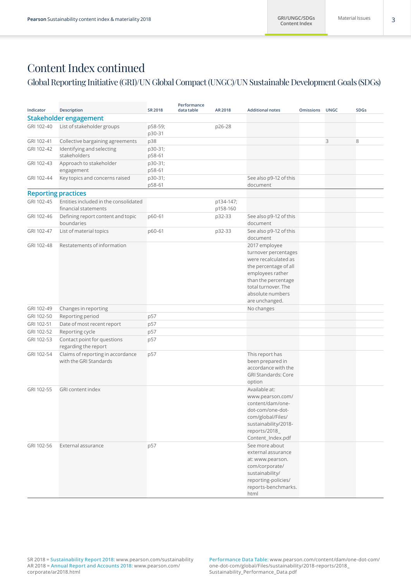### Global Reporting Initiative (GRI)/UN Global Compact (UNGC)/UN Sustainable Development Goals (SDGs)

| Indicator                  | <b>Description</b>                              | <b>SR 2018</b> | Performance<br>data table | AR 2018   | <b>Additional notes</b>                 | <b>Omissions</b> | <b>UNGC</b> | <b>SDGs</b> |
|----------------------------|-------------------------------------------------|----------------|---------------------------|-----------|-----------------------------------------|------------------|-------------|-------------|
|                            | Stakeholder engagement                          |                |                           |           |                                         |                  |             |             |
| GRI 102-40                 | List of stakeholder groups                      | p58-59;        |                           | p26-28    |                                         |                  |             |             |
|                            |                                                 | p30-31         |                           |           |                                         |                  |             |             |
| GRI 102-41                 | Collective bargaining agreements                | p38            |                           |           |                                         |                  | 3           | 8           |
| GRI 102-42                 | Identifying and selecting                       | p30-31;        |                           |           |                                         |                  |             |             |
|                            | stakeholders                                    | p58-61         |                           |           |                                         |                  |             |             |
| GRI 102-43                 | Approach to stakeholder                         | p30-31;        |                           |           |                                         |                  |             |             |
|                            | engagement                                      | p58-61         |                           |           |                                         |                  |             |             |
| GRI 102-44                 | Key topics and concerns raised                  | p30-31;        |                           |           | See also p9-12 of this                  |                  |             |             |
|                            |                                                 | p58-61         |                           |           | document                                |                  |             |             |
| <b>Reporting practices</b> |                                                 |                |                           |           |                                         |                  |             |             |
| GRI 102-45                 | Entities included in the consolidated           |                |                           | p134-147; |                                         |                  |             |             |
|                            | financial statements                            |                |                           | p158-160  |                                         |                  |             |             |
| GRI 102-46                 | Defining report content and topic<br>boundaries | p60-61         |                           | p32-33    | See also p9-12 of this<br>document      |                  |             |             |
| GRI 102-47                 | List of material topics                         | p60-61         |                           | p32-33    | See also p9-12 of this                  |                  |             |             |
|                            |                                                 |                |                           |           | document                                |                  |             |             |
| GRI 102-48                 | Restatements of information                     |                |                           |           | 2017 employee                           |                  |             |             |
|                            |                                                 |                |                           |           | turnover percentages                    |                  |             |             |
|                            |                                                 |                |                           |           | were recalculated as                    |                  |             |             |
|                            |                                                 |                |                           |           | the percentage of all                   |                  |             |             |
|                            |                                                 |                |                           |           | employees rather                        |                  |             |             |
|                            |                                                 |                |                           |           | than the percentage                     |                  |             |             |
|                            |                                                 |                |                           |           | total turnover. The<br>absolute numbers |                  |             |             |
|                            |                                                 |                |                           |           | are unchanged.                          |                  |             |             |
| GRI 102-49                 | Changes in reporting                            |                |                           |           | No changes                              |                  |             |             |
| GRI 102-50                 | Reporting period                                | p57            |                           |           |                                         |                  |             |             |
| GRI 102-51                 | Date of most recent report                      | p57            |                           |           |                                         |                  |             |             |
| GRI 102-52                 | Reporting cycle                                 | p57            |                           |           |                                         |                  |             |             |
| GRI 102-53                 | Contact point for questions                     | p57            |                           |           |                                         |                  |             |             |
|                            | regarding the report                            |                |                           |           |                                         |                  |             |             |
| GRI 102-54                 | Claims of reporting in accordance               | p57            |                           |           | This report has                         |                  |             |             |
|                            | with the GRI Standards                          |                |                           |           | been prepared in                        |                  |             |             |
|                            |                                                 |                |                           |           | accordance with the                     |                  |             |             |
|                            |                                                 |                |                           |           | <b>GRI Standards: Core</b><br>option    |                  |             |             |
| GRI 102-55                 | GRI content index                               |                |                           |           | Available at:                           |                  |             |             |
|                            |                                                 |                |                           |           | www.pearson.com/                        |                  |             |             |
|                            |                                                 |                |                           |           | content/dam/one-                        |                  |             |             |
|                            |                                                 |                |                           |           | dot-com/one-dot-                        |                  |             |             |
|                            |                                                 |                |                           |           | com/global/Files/                       |                  |             |             |
|                            |                                                 |                |                           |           | sustainability/2018-                    |                  |             |             |
|                            |                                                 |                |                           |           | reports/2018_                           |                  |             |             |
|                            |                                                 |                |                           |           | Content_Index.pdf                       |                  |             |             |
| GRI 102-56                 | External assurance                              | p57            |                           |           | See more about<br>external assurance    |                  |             |             |
|                            |                                                 |                |                           |           | at: www.pearson.                        |                  |             |             |
|                            |                                                 |                |                           |           | com/corporate/                          |                  |             |             |
|                            |                                                 |                |                           |           | sustainability/                         |                  |             |             |
|                            |                                                 |                |                           |           | reporting-policies/                     |                  |             |             |
|                            |                                                 |                |                           |           | reports-benchmarks.                     |                  |             |             |
|                            |                                                 |                |                           |           | html                                    |                  |             |             |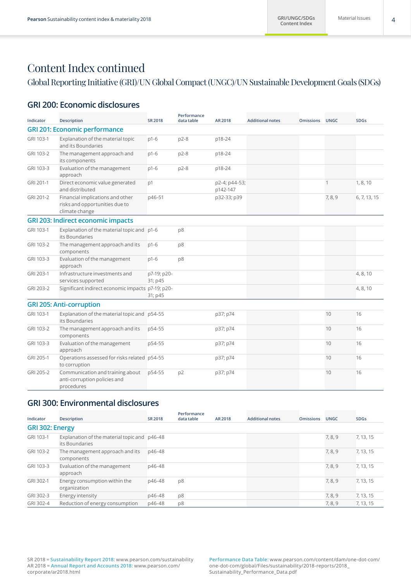### Global Reporting Initiative (GRI)/UN Global Compact (UNGC)/UN Sustainable Development Goals (SDGs)

### **GRI 200: Economic disclosures**

| Indicator | <b>Description</b>                                                                   | <b>SR 2018</b>         | Performance<br>data table | AR 2018                   | <b>Additional notes</b> | <b>Omissions</b> | <b>UNGC</b>  | <b>SDGs</b>  |
|-----------|--------------------------------------------------------------------------------------|------------------------|---------------------------|---------------------------|-------------------------|------------------|--------------|--------------|
|           | <b>GRI 201: Economic performance</b>                                                 |                        |                           |                           |                         |                  |              |              |
| GRI 103-1 | Explanation of the material topic<br>and its Boundaries                              | $p1-6$                 | $p2-8$                    | p18-24                    |                         |                  |              |              |
| GRI 103-2 | The management approach and<br>its components                                        | $p1-6$                 | $p2-8$                    | p18-24                    |                         |                  |              |              |
| GRI 103-3 | Evaluation of the management<br>approach                                             | $p1-6$                 | $p2-8$                    | p18-24                    |                         |                  |              |              |
| GRI 201-1 | Direct economic value generated<br>and distributed                                   | p1                     |                           | p2-4; p44-53;<br>p142-147 |                         |                  | $\mathbf{1}$ | 1, 8, 10     |
| GRI 201-2 | Financial implications and other<br>risks and opportunities due to<br>climate change | p46-51                 |                           | p32-33; p39               |                         |                  | 7, 8, 9      | 6, 7, 13, 15 |
|           | <b>GRI 203: Indirect economic impacts</b>                                            |                        |                           |                           |                         |                  |              |              |
| GRI 103-1 | Explanation of the material topic and p1-6<br>its Boundaries                         |                        | p8                        |                           |                         |                  |              |              |
| GRI 103-2 | The management approach and its<br>components                                        | $p1-6$                 | p8                        |                           |                         |                  |              |              |
| GRI 103-3 | Evaluation of the management<br>approach                                             | $p1-6$                 | p8                        |                           |                         |                  |              |              |
| GRI 203-1 | Infrastructure investments and<br>services supported                                 | p7-19; p20-<br>31; p45 |                           |                           |                         |                  |              | 4, 8, 10     |
| GRI 203-2 | Significant indirect economic impacts p7-19; p20-                                    | 31; p45                |                           |                           |                         |                  |              | 4, 8, 10     |
|           | <b>GRI 205: Anti-corruption</b>                                                      |                        |                           |                           |                         |                  |              |              |
| GRI 103-1 | Explanation of the material topic and p54-55<br>its Boundaries                       |                        |                           | p37; p74                  |                         |                  | 10           | 16           |
| GRI 103-2 | The management approach and its<br>components                                        | p54-55                 |                           | p37; p74                  |                         |                  | 10           | 16           |
| GRI 103-3 | Evaluation of the management<br>approach                                             | p54-55                 |                           | p37; p74                  |                         |                  | 10           | 16           |
| GRI 205-1 | Operations assessed for risks related p54-55<br>to corruption                        |                        |                           | p37; p74                  |                         |                  | 10           | 16           |
| GRI 205-2 | Communication and training about<br>anti-corruption policies and<br>procedures       | p54-55                 | p <sub>2</sub>            | p37; p74                  |                         |                  | 10           | 16           |

### **GRI 300: Environmental disclosures**

| Indicator       | <b>Description</b>                                             | SR 2018 | Performance<br>data table | AR 2018 | <b>Additional notes</b> | <b>Omissions</b> | <b>UNGC</b> | <b>SDGs</b> |
|-----------------|----------------------------------------------------------------|---------|---------------------------|---------|-------------------------|------------------|-------------|-------------|
| GRI 302: Energy |                                                                |         |                           |         |                         |                  |             |             |
| GRI 103-1       | Explanation of the material topic and p46-48<br>its Boundaries |         |                           |         |                         |                  | 7, 8, 9     | 7, 13, 15   |
| GRI 103-2       | The management approach and its<br>components                  | p46-48  |                           |         |                         |                  | 7, 8, 9     | 7, 13, 15   |
| GRI 103-3       | Evaluation of the management<br>approach                       | p46-48  |                           |         |                         |                  | 7, 8, 9     | 7, 13, 15   |
| GRI 302-1       | Energy consumption within the<br>organization                  | p46-48  | p8                        |         |                         |                  | 7, 8, 9     | 7, 13, 15   |
| GRI 302-3       | Energy intensity                                               | p46-48  | p8                        |         |                         |                  | 7, 8, 9     | 7, 13, 15   |
| GRI 302-4       | Reduction of energy consumption                                | p46-48  | p8                        |         |                         |                  | 7, 8, 9     | 7, 13, 15   |

SR 2018 = **Sustainability Report 2018:** [www.pearson.com/sustainability](http://www.pearson.com/sustainability) AR 2018 = **Annual Report and Accounts 2018:** [www.pearson.com/](https://www.pearson.com/corporate/ar2018.html) [corporate/ar2018.html](https://www.pearson.com/corporate/ar2018.html)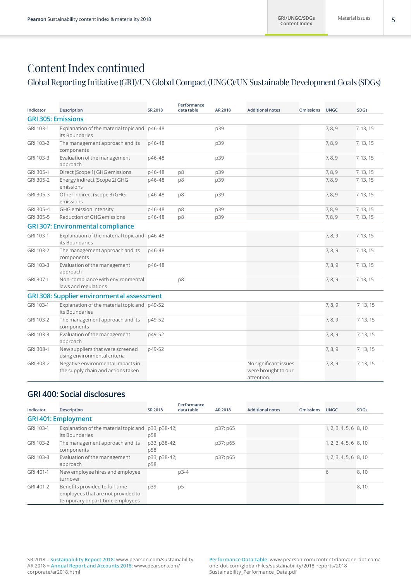## Global Reporting Initiative (GRI)/UN Global Compact (UNGC)/UN Sustainable Development Goals (SDGs)

| Indicator | <b>Description</b>                                                      | <b>SR 2018</b> | Performance<br>data table | AR 2018 | <b>Additional notes</b>                                    | <b>Omissions</b> | <b>UNGC</b> | <b>SDGs</b> |
|-----------|-------------------------------------------------------------------------|----------------|---------------------------|---------|------------------------------------------------------------|------------------|-------------|-------------|
|           | <b>GRI 305: Emissions</b>                                               |                |                           |         |                                                            |                  |             |             |
| GRI 103-1 | Explanation of the material topic and p46-48<br>its Boundaries          |                |                           | p39     |                                                            |                  | 7, 8, 9     | 7, 13, 15   |
| GRI 103-2 | The management approach and its<br>components                           | p46-48         |                           | p39     |                                                            |                  | 7, 8, 9     | 7, 13, 15   |
| GRI 103-3 | Evaluation of the management<br>approach                                | p46-48         |                           | p39     |                                                            |                  | 7, 8, 9     | 7, 13, 15   |
| GRI 305-1 | Direct (Scope 1) GHG emissions                                          | p46-48         | p8                        | p39     |                                                            |                  | 7, 8, 9     | 7, 13, 15   |
| GRI 305-2 | Energy indirect (Scope 2) GHG<br>emissions                              | p46-48         | p8                        | p39     |                                                            |                  | 7, 8, 9     | 7, 13, 15   |
| GRI 305-3 | Other indirect (Scope 3) GHG<br>emissions                               | p46-48         | p8                        | p39     |                                                            |                  | 7, 8, 9     | 7, 13, 15   |
| GRI 305-4 | GHG emission intensity                                                  | p46-48         | p8                        | p39     |                                                            |                  | 7, 8, 9     | 7, 13, 15   |
| GRI 305-5 | Reduction of GHG emissions                                              | p46-48         | p8                        | p39     |                                                            |                  | 7, 8, 9     | 7, 13, 15   |
|           | <b>GRI 307: Environmental compliance</b>                                |                |                           |         |                                                            |                  |             |             |
| GRI 103-1 | Explanation of the material topic and p46-48<br>its Boundaries          |                |                           |         |                                                            |                  | 7, 8, 9     | 7, 13, 15   |
| GRI 103-2 | The management approach and its<br>components                           | p46-48         |                           |         |                                                            |                  | 7, 8, 9     | 7, 13, 15   |
| GRI 103-3 | Evaluation of the management<br>approach                                | p46-48         |                           |         |                                                            |                  | 7, 8, 9     | 7, 13, 15   |
| GRI 307-1 | Non-compliance with environmental<br>laws and regulations               |                | p8                        |         |                                                            |                  | 7, 8, 9     | 7, 13, 15   |
|           | <b>GRI 308: Supplier environmental assessment</b>                       |                |                           |         |                                                            |                  |             |             |
| GRI 103-1 | Explanation of the material topic and p49-52<br>its Boundaries          |                |                           |         |                                                            |                  | 7, 8, 9     | 7, 13, 15   |
| GRI 103-2 | The management approach and its<br>components                           | p49-52         |                           |         |                                                            |                  | 7, 8, 9     | 7, 13, 15   |
| GRI 103-3 | Evaluation of the management<br>approach                                | p49-52         |                           |         |                                                            |                  | 7, 8, 9     | 7, 13, 15   |
| GRI 308-1 | New suppliers that were screened<br>using environmental criteria        | p49-52         |                           |         |                                                            |                  | 7, 8, 9     | 7, 13, 15   |
| GRI 308-2 | Negative environmental impacts in<br>the supply chain and actions taken |                |                           |         | No significant issues<br>were brought to our<br>attention. |                  | 7, 8, 9     | 7, 13, 15   |

### **GRI 400: Social disclosures**

| Indicator | <b>Description</b>                                                                                       | <b>SR 2018</b>      | Performance<br>data table | AR 2018  | <b>Additional notes</b> | <b>Omissions</b> | <b>UNGC</b>              | <b>SDGs</b> |
|-----------|----------------------------------------------------------------------------------------------------------|---------------------|---------------------------|----------|-------------------------|------------------|--------------------------|-------------|
|           | <b>GRI 401: Employment</b>                                                                               |                     |                           |          |                         |                  |                          |             |
| GRI 103-1 | Explanation of the material topic and<br>its Boundaries                                                  | p33; p38-42;<br>p58 |                           | p37; p65 |                         |                  | $1, 2, 3, 4, 5, 6$ 8, 10 |             |
| GRI 103-2 | The management approach and its<br>components                                                            | p33; p38-42;<br>p58 |                           | p37; p65 |                         |                  | $1, 2, 3, 4, 5, 6$ 8, 10 |             |
| GRI 103-3 | Evaluation of the management<br>approach                                                                 | p33; p38-42;<br>p58 |                           | p37; p65 |                         |                  | $1, 2, 3, 4, 5, 6$ 8, 10 |             |
| GRI 401-1 | New employee hires and employee<br>turnover                                                              |                     | $p3-4$                    |          |                         |                  | 6                        | 8,10        |
| GRI 401-2 | Benefits provided to full-time<br>employees that are not provided to<br>temporary or part-time employees | p39                 | p <sub>5</sub>            |          |                         |                  |                          | 8,10        |

SR 2018 = **Sustainability Report 2018:** [www.pearson.com/sustainability](http://www.pearson.com/sustainability) AR 2018 = **Annual Report and Accounts 2018:** [www.pearson.com/](https://www.pearson.com/corporate/ar2018.html) [corporate/ar2018.html](https://www.pearson.com/corporate/ar2018.html)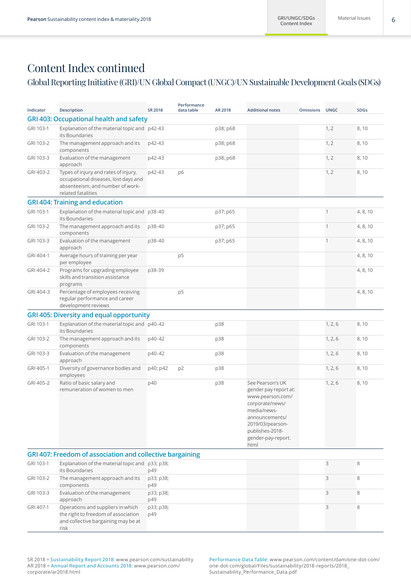### Global Reporting Initiative (GRI)/UN Global Compact (UNGC)/UN Sustainable Development Goals (SDGs)

| Indicator | <b>Description</b>                                                                                                                     | <b>SR 2018</b>   | Performance<br>data table | AR 2018  | <b>Additional notes</b>                                                                                                                                                                | <b>Omissions</b> | <b>UNGC</b>  | <b>SDGs</b> |
|-----------|----------------------------------------------------------------------------------------------------------------------------------------|------------------|---------------------------|----------|----------------------------------------------------------------------------------------------------------------------------------------------------------------------------------------|------------------|--------------|-------------|
|           | <b>GRI 403: Occupational health and safety</b>                                                                                         |                  |                           |          |                                                                                                                                                                                        |                  |              |             |
| GRI 103-1 | Explanation of the material topic and p42-43<br>its Boundaries                                                                         |                  |                           | p38; p68 |                                                                                                                                                                                        |                  | 1, 2         | 8,10        |
| GRI 103-2 | The management approach and its<br>components                                                                                          | p42-43           |                           | p38; p68 |                                                                                                                                                                                        |                  | 1, 2         | 8,10        |
| GRI 103-3 | Evaluation of the management<br>approach                                                                                               | p42-43           |                           | p38; p68 |                                                                                                                                                                                        |                  | 1, 2         | 8,10        |
| GRI 403-2 | Types of injury and rates of injury,<br>occupational diseases, lost days and<br>absenteeism, and number of work-<br>related fatalities | p42-43           | p6                        |          |                                                                                                                                                                                        |                  | 1, 2         | 8,10        |
|           | <b>GRI 404: Training and education</b>                                                                                                 |                  |                           |          |                                                                                                                                                                                        |                  |              |             |
| GRI 103-1 | Explanation of the material topic and p38-40<br>its Boundaries                                                                         |                  |                           | p37; p65 |                                                                                                                                                                                        |                  | $\mathbf{1}$ | 4, 8, 10    |
| GRI 103-2 | The management approach and its<br>components                                                                                          | p38-40           |                           | p37; p65 |                                                                                                                                                                                        |                  | $\mathbf{1}$ | 4, 8, 10    |
| GRI 103-3 | Evaluation of the management<br>approach                                                                                               | p38-40           |                           | p37; p65 |                                                                                                                                                                                        |                  | $\mathbf{1}$ | 4, 8, 10    |
| GRI 404-1 | Average hours of training per year<br>per employee                                                                                     |                  | p <sub>5</sub>            |          |                                                                                                                                                                                        |                  |              | 4, 8, 10    |
| GRI 404-2 | Programs for upgrading employee<br>skills and transition assistance<br>programs                                                        | p38-39           |                           |          |                                                                                                                                                                                        |                  |              | 4, 8, 10    |
| GRI 404-3 | Percentage of employees receiving<br>regular performance and career<br>development reviews                                             |                  | p5                        |          |                                                                                                                                                                                        |                  |              | 4, 8, 10    |
|           | <b>GRI 405: Diversity and equal opportunity</b>                                                                                        |                  |                           |          |                                                                                                                                                                                        |                  |              |             |
| GRI 103-1 | Explanation of the material topic and p40-42<br>its Boundaries                                                                         |                  |                           | p38      |                                                                                                                                                                                        |                  | 1, 2, 6      | 8,10        |
| GRI 103-2 | The management approach and its<br>components                                                                                          | p40-42           |                           | p38      |                                                                                                                                                                                        |                  | 1, 2, 6      | 8,10        |
| GRI 103-3 | Evaluation of the management<br>approach                                                                                               | p40-42           |                           | p38      |                                                                                                                                                                                        |                  | 1, 2, 6      | 8,10        |
| GRI 405-1 | Diversity of governance bodies and<br>employees                                                                                        | p40; p42         | p <sub>2</sub>            | p38      |                                                                                                                                                                                        |                  | 1, 2, 6      | 8,10        |
| GRI 405-2 | Ratio of basic salary and<br>remuneration of women to men                                                                              | p40              |                           | p38      | See Pearson's UK<br>gender pay report at:<br>www.pearson.com/<br>corporate/news/<br>media/news-<br>announcements/<br>2019/03/pearson-<br>publishes-2018-<br>gender-pay-report.<br>html |                  | 1, 2, 6      | 8,10        |
|           | GRI 407: Freedom of association and collective bargaining                                                                              |                  |                           |          |                                                                                                                                                                                        |                  |              |             |
| GRI 103-1 | Explanation of the material topic and p33; p38;<br>its Boundaries                                                                      | p49              |                           |          |                                                                                                                                                                                        |                  | 3            | 8           |
| GRI 103-2 | The management approach and its<br>components                                                                                          | p33; p38;<br>p49 |                           |          |                                                                                                                                                                                        |                  | 3            | 8           |
| GRI 103-3 | Evaluation of the management<br>approach                                                                                               | p33; p38;<br>p49 |                           |          |                                                                                                                                                                                        |                  | 3            | 8           |
| GRI 407-1 | Operations and suppliers in which<br>the right to freedom of association<br>and collective bargaining may be at<br>risk                | p33; p38;<br>p49 |                           |          |                                                                                                                                                                                        |                  | 3            | 8           |

SR 2018 = **Sustainability Report 2018:** [www.pearson.com/sustainability](http://www.pearson.com/sustainability) AR 2018 = **Annual Report and Accounts 2018:** [www.pearson.com/](https://www.pearson.com/corporate/ar2018.html) [corporate/ar2018.html](https://www.pearson.com/corporate/ar2018.html)

**Performance Data Table:** [www.pearson.com/content/dam/one-dot-com/](https://www.pearson.com/content/dam/one-dot-com/one-dot-com/global/Files/sustainability/2018-reports/2018_Sustainability_Performance_Data.pdf) [one-dot-com/global/Files/sustainability/2018-reports/2018\\_](https://www.pearson.com/content/dam/one-dot-com/one-dot-com/global/Files/sustainability/2018-reports/2018_Sustainability_Performance_Data.pdf) [Sustainability\\_Performance\\_Data.pdf](https://www.pearson.com/content/dam/one-dot-com/one-dot-com/global/Files/sustainability/2018-reports/2018_Sustainability_Performance_Data.pdf)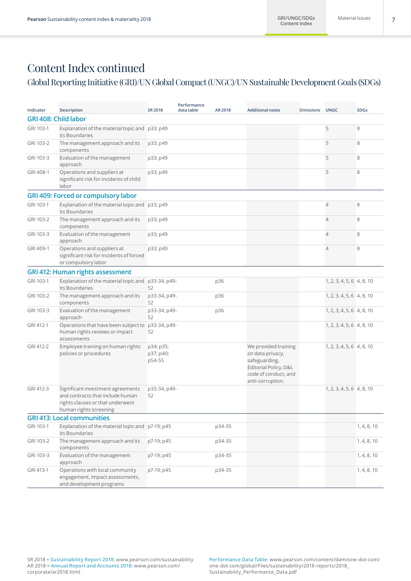### Global Reporting Initiative (GRI)/UN Global Compact (UNGC)/UN Sustainable Development Goals (SDGs)

| Indicator | <b>Description</b>                                                                                                                  | <b>SR 2018</b>                   | Performance<br>data table | AR 2018 | <b>Additional notes</b>                                                                                                         | <b>Omissions</b> | <b>UNGC</b>               | <b>SDGs</b> |
|-----------|-------------------------------------------------------------------------------------------------------------------------------------|----------------------------------|---------------------------|---------|---------------------------------------------------------------------------------------------------------------------------------|------------------|---------------------------|-------------|
|           | <b>GRI 408: Child labor</b>                                                                                                         |                                  |                           |         |                                                                                                                                 |                  |                           |             |
| GRI 103-1 | Explanation of the material topic and p33; p49<br>its Boundaries                                                                    |                                  |                           |         |                                                                                                                                 |                  | 5                         | 8           |
| GRI 103-2 | The management approach and its<br>components                                                                                       | p33; p49                         |                           |         |                                                                                                                                 |                  | 5                         | 8           |
| GRI 103-3 | Evaluation of the management<br>approach                                                                                            | p33; p49                         |                           |         |                                                                                                                                 |                  | 5                         | 8           |
| GRI 408-1 | Operations and suppliers at<br>significant risk for incidents of child<br>labor                                                     | p33; p49                         |                           |         |                                                                                                                                 |                  | 5                         | 8           |
|           | GRI 409: Forced or compulsory labor                                                                                                 |                                  |                           |         |                                                                                                                                 |                  |                           |             |
| GRI 103-1 | Explanation of the material topic and p33; p49<br>its Boundaries                                                                    |                                  |                           |         |                                                                                                                                 |                  | $\overline{4}$            | 8           |
| GRI 103-2 | The management approach and its<br>components                                                                                       | p33; p49                         |                           |         |                                                                                                                                 |                  | $\overline{4}$            | 8           |
| GRI 103-3 | Evaluation of the management<br>approach                                                                                            | p33; p49                         |                           |         |                                                                                                                                 |                  | $\overline{4}$            | 8           |
| GRI 409-1 | Operations and suppliers at<br>significant risk for incidents of forced<br>or compulsory labor                                      | p33; p49                         |                           |         |                                                                                                                                 |                  | 4                         | 8           |
|           | <b>GRI 412: Human rights assessment</b>                                                                                             |                                  |                           |         |                                                                                                                                 |                  |                           |             |
| GRI 103-1 | Explanation of the material topic and<br>its Boundaries                                                                             | p33-34, p49-<br>52               |                           | p36     |                                                                                                                                 |                  | 1, 2, 3, 4, 5, 6 4, 8, 10 |             |
| GRI 103-2 | The management approach and its<br>components                                                                                       | p33-34, p49-<br>52               |                           | p36     |                                                                                                                                 |                  | 1, 2, 3, 4, 5, 6 4, 8, 10 |             |
| GRI 103-3 | Evaluation of the management<br>approach                                                                                            | p33-34, p49-<br>52               |                           | p36     |                                                                                                                                 |                  | 1, 2, 3, 4, 5, 6 4, 8, 10 |             |
| GRI 412-1 | Operations that have been subject to<br>human rights reviews or impact<br>assessments                                               | p33-34, p49-<br>52               |                           |         |                                                                                                                                 |                  | 1, 2, 3, 4, 5, 6 4, 8, 10 |             |
| GRI 412-2 | Employee training on human rights<br>policies or procedures                                                                         | p34; p35;<br>p37; p40;<br>p54-55 |                           |         | We provided training<br>on data privacy,<br>safeguarding,<br>Editorial Policy, D&I,<br>code of conduct, and<br>anti-corruption. |                  | 1, 2, 3, 4, 5, 6 4, 8, 10 |             |
| GRI 412-3 | Significant investment agreements<br>and contracts that include human<br>rights clauses or that underwent<br>human rights screening | p33-34, p49-<br>52               |                           |         |                                                                                                                                 |                  | 1, 2, 3, 4, 5, 6 4, 8, 10 |             |
|           | <b>GRI 413: Local communities</b>                                                                                                   |                                  |                           |         |                                                                                                                                 |                  |                           |             |
| GRI 103-1 | Explanation of the material topic and p7-19; p45<br>its Boundaries                                                                  |                                  |                           | p34-35  |                                                                                                                                 |                  |                           | 1, 4, 8, 10 |
| GRI 103-2 | The management approach and its<br>components                                                                                       | p7-19; p45                       |                           | p34-35  |                                                                                                                                 |                  |                           | 1, 4, 8, 10 |
| GRI 103-3 | Evaluation of the management<br>approach                                                                                            | p7-19; p45                       |                           | p34-35  |                                                                                                                                 |                  |                           | 1, 4, 8, 10 |
| GRI 413-1 | Operations with local community<br>engagement, impact assessments,<br>and development programs                                      | p7-19; p45                       |                           | p34-35  |                                                                                                                                 |                  |                           | 1, 4, 8, 10 |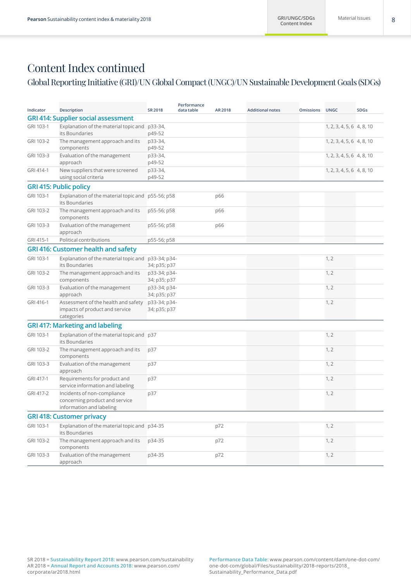### Global Reporting Initiative (GRI)/UN Global Compact (UNGC)/UN Sustainable Development Goals (SDGs)

| Indicator | <b>Description</b>                                                                        | <b>SR 2018</b>               | Performance<br>data table | AR 2018 | <b>Additional notes</b> | <b>Omissions</b> | <b>UNGC</b>               | <b>SDGs</b> |
|-----------|-------------------------------------------------------------------------------------------|------------------------------|---------------------------|---------|-------------------------|------------------|---------------------------|-------------|
|           | <b>GRI 414: Supplier social assessment</b>                                                |                              |                           |         |                         |                  |                           |             |
| GRI 103-1 | Explanation of the material topic and p33-34,<br>its Boundaries                           | p49-52                       |                           |         |                         |                  | 1, 2, 3, 4, 5, 6 4, 8, 10 |             |
| GRI 103-2 | The management approach and its<br>components                                             | p33-34,<br>p49-52            |                           |         |                         |                  | 1, 2, 3, 4, 5, 6 4, 8, 10 |             |
| GRI 103-3 | Evaluation of the management<br>approach                                                  | p33-34,<br>p49-52            |                           |         |                         |                  | 1, 2, 3, 4, 5, 6 4, 8, 10 |             |
| GRI 414-1 | New suppliers that were screened<br>using social criteria                                 | p33-34,<br>p49-52            |                           |         |                         |                  | 1, 2, 3, 4, 5, 6 4, 8, 10 |             |
|           | <b>GRI 415: Public policy</b>                                                             |                              |                           |         |                         |                  |                           |             |
| GRI 103-1 | Explanation of the material topic and p55-56; p58<br>its Boundaries                       |                              |                           | p66     |                         |                  |                           |             |
| GRI 103-2 | The management approach and its<br>components                                             | p55-56; p58                  |                           | p66     |                         |                  |                           |             |
| GRI 103-3 | Evaluation of the management<br>approach                                                  | p55-56; p58                  |                           | p66     |                         |                  |                           |             |
| GRI 415-1 | Political contributions                                                                   | p55-56; p58                  |                           |         |                         |                  |                           |             |
|           | <b>GRI 416: Customer health and safety</b>                                                |                              |                           |         |                         |                  |                           |             |
| GRI 103-1 | Explanation of the material topic and<br>its Boundaries                                   | p33-34; p34-<br>34; p35; p37 |                           |         |                         |                  | 1, 2                      |             |
| GRI 103-2 | The management approach and its<br>components                                             | p33-34; p34-<br>34; p35; p37 |                           |         |                         |                  | 1, 2                      |             |
| GRI 103-3 | Evaluation of the management<br>approach                                                  | p33-34; p34-<br>34; p35; p37 |                           |         |                         |                  | 1, 2                      |             |
| GRI 416-1 | Assessment of the health and safety<br>impacts of product and service<br>categories       | p33-34; p34-<br>34; p35; p37 |                           |         |                         |                  | 1, 2                      |             |
|           | <b>GRI 417: Marketing and labeling</b>                                                    |                              |                           |         |                         |                  |                           |             |
| GRI 103-1 | Explanation of the material topic and p37<br>its Boundaries                               |                              |                           |         |                         |                  | 1, 2                      |             |
| GRI 103-2 | The management approach and its<br>components                                             | p37                          |                           |         |                         |                  | 1, 2                      |             |
| GRI 103-3 | Evaluation of the management<br>approach                                                  | p37                          |                           |         |                         |                  | 1, 2                      |             |
| GRI 417-1 | Requirements for product and<br>service information and labeling                          | p37                          |                           |         |                         |                  | 1, 2                      |             |
| GRI 417-2 | Incidents of non-compliance<br>concerning product and service<br>information and labeling | p37                          |                           |         |                         |                  | 1, 2                      |             |
|           | <b>GRI 418: Customer privacy</b>                                                          |                              |                           |         |                         |                  |                           |             |
| GRI 103-1 | Explanation of the material topic and p34-35<br>its Boundaries                            |                              |                           | p72     |                         |                  | 1, 2                      |             |
| GRI 103-2 | The management approach and its<br>components                                             | p34-35                       |                           | p72     |                         |                  | 1, 2                      |             |
| GRI 103-3 | Evaluation of the management<br>approach                                                  | p34-35                       |                           | p72     |                         |                  | 1, 2                      |             |
|           |                                                                                           |                              |                           |         |                         |                  |                           |             |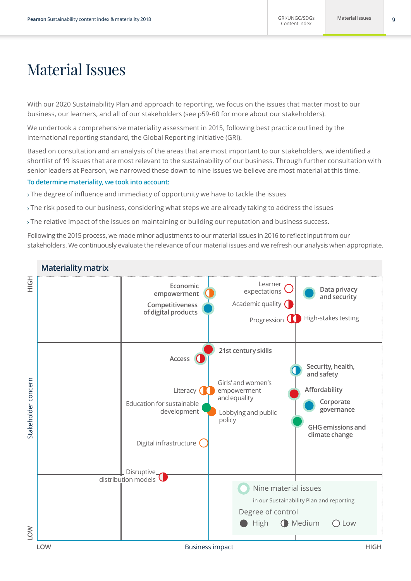# Material Issues

With our 2020 Sustainability Plan and approach to reporting, we focus on the issues that matter most to our business, our learners, and all of our stakeholders (see p59-60 for more about our stakeholders).

We undertook a comprehensive materiality assessment in 2015, following best practice outlined by the international reporting standard, the Global Reporting Initiative (GRI).

Based on consultation and an analysis of the areas that are most important to our stakeholders, we identified a shortlist of 19 issues that are most relevant to the sustainability of our business. Through further consultation with senior leaders at Pearson, we narrowed these down to nine issues we believe are most material at this time.

#### **To determine materiality, we took into account:**

The degree of influence and immediacy of opportunity we have to tackle the issues

- The risk posed to our business, considering what steps we are already taking to address the issues
- The relative impact of the issues on maintaining or building our reputation and business success.

Following the 2015 process, we made minor adjustments to our material issues in 2016 to reflect input from our stakeholders. We continuously evaluate the relevance of our material issues and we refresh our analysis when appropriate.

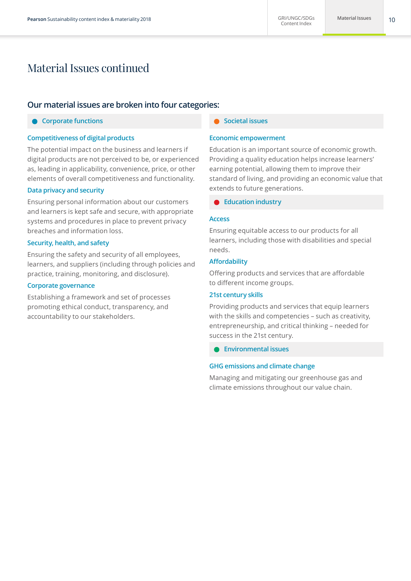# Material Issues continued

### **Our material issues are broken into four categories:**

### **Corporate functions**

#### **Competitiveness of digital products**

The potential impact on the business and learners if digital products are not perceived to be, or experienced as, leading in applicability, convenience, price, or other elements of overall competitiveness and functionality.

#### **Data privacy and security**

Ensuring personal information about our customers and learners is kept safe and secure, with appropriate systems and procedures in place to prevent privacy breaches and information loss.

### **Security, health, and safety**

Ensuring the safety and security of all employees, learners, and suppliers (including through policies and practice, training, monitoring, and disclosure).

#### **Corporate governance**

Establishing a framework and set of processes promoting ethical conduct, transparency, and accountability to our stakeholders.

#### **Societal issues**

#### **Economic empowerment**

Education is an important source of economic growth. Providing a quality education helps increase learners' earning potential, allowing them to improve their standard of living, and providing an economic value that extends to future generations.

**Education industry**

#### **Access**

Ensuring equitable access to our products for all learners, including those with disabilities and special needs.

#### **Affordability**

Offering products and services that are affordable to different income groups.

#### **21st century skills**

Providing products and services that equip learners with the skills and competencies – such as creativity, entrepreneurship, and critical thinking – needed for success in the 21st century.

**Environmental issues**

#### **GHG emissions and climate change**

Managing and mitigating our greenhouse gas and climate emissions throughout our value chain.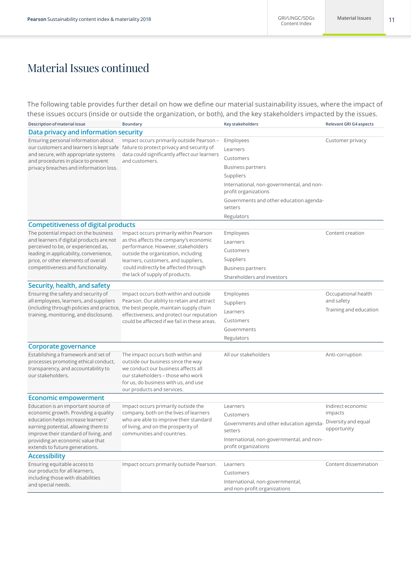# Material Issues continued

The following table provides further detail on how we define our material sustainability issues, where the impact of these issues occurs (inside or outside the organization, or both), and the key stakeholders impacted by the issues.

| Description of material issue                                                 | <b>Boundary</b>                                                                                                                                                                                                             | <b>Key stakeholders</b>                                          | <b>Relevant GRI G4 aspects</b> |
|-------------------------------------------------------------------------------|-----------------------------------------------------------------------------------------------------------------------------------------------------------------------------------------------------------------------------|------------------------------------------------------------------|--------------------------------|
| Data privacy and information security                                         |                                                                                                                                                                                                                             |                                                                  |                                |
| Ensuring personal information about                                           | Impact occurs primarily outside Pearson-                                                                                                                                                                                    | Employees                                                        | Customer privacy               |
|                                                                               | our customers and learners is kept safe failure to protect privacy and security of                                                                                                                                          | Learners                                                         |                                |
| and secure, with appropriate systems<br>and procedures in place to prevent    | data could significantly affect our learners<br>and customers.                                                                                                                                                              | Customers                                                        |                                |
| privacy breaches and information loss.                                        |                                                                                                                                                                                                                             | <b>Business partners</b>                                         |                                |
|                                                                               |                                                                                                                                                                                                                             | Suppliers                                                        |                                |
|                                                                               |                                                                                                                                                                                                                             | International, non-governmental, and non-                        |                                |
|                                                                               |                                                                                                                                                                                                                             | profit organizations                                             |                                |
|                                                                               |                                                                                                                                                                                                                             | Governments and other education agenda-<br>setters               |                                |
|                                                                               |                                                                                                                                                                                                                             | Regulators                                                       |                                |
| <b>Competitiveness of digital products</b>                                    |                                                                                                                                                                                                                             |                                                                  |                                |
| The potential impact on the business                                          | Impact occurs primarily within Pearson                                                                                                                                                                                      | Employees                                                        | Content creation               |
| and learners if digital products are not                                      | as this affects the company's economic                                                                                                                                                                                      | Learners                                                         |                                |
| perceived to be, or experienced as,<br>leading in applicability, convenience, | performance. However, stakeholders<br>outside the organization, including                                                                                                                                                   | Customers                                                        |                                |
| price, or other elements of overall                                           | learners, customers, and suppliers,                                                                                                                                                                                         | Suppliers                                                        |                                |
| competitiveness and functionality.                                            | could indirectly be affected through                                                                                                                                                                                        | <b>Business partners</b>                                         |                                |
|                                                                               | the lack of supply of products.                                                                                                                                                                                             | Shareholders and investors                                       |                                |
| Security, health, and safety                                                  |                                                                                                                                                                                                                             |                                                                  |                                |
| Ensuring the safety and security of                                           | Impact occurs both within and outside                                                                                                                                                                                       | Employees                                                        | Occupational health            |
| all employees, learners, and suppliers                                        | Pearson. Our ability to retain and attract<br>(including through policies and practice, the best people, maintain supply chain<br>effectiveness, and protect our reputation<br>could be affected if we fail in these areas. | Suppliers                                                        | and safety                     |
|                                                                               |                                                                                                                                                                                                                             | Learners                                                         | Training and education         |
| training, monitoring, and disclosure).                                        |                                                                                                                                                                                                                             | Customers                                                        |                                |
|                                                                               |                                                                                                                                                                                                                             | Governments                                                      |                                |
|                                                                               |                                                                                                                                                                                                                             | Regulators                                                       |                                |
| Corporate governance                                                          |                                                                                                                                                                                                                             |                                                                  |                                |
| Establishing a framework and set of                                           | The impact occurs both within and                                                                                                                                                                                           | All our stakeholders                                             | Anti-corruption                |
| processes promoting ethical conduct,                                          | outside our business since the way                                                                                                                                                                                          |                                                                  |                                |
| transparency, and accountability to                                           | we conduct our business affects all                                                                                                                                                                                         |                                                                  |                                |
| our stakeholders.                                                             | our stakeholders - those who work                                                                                                                                                                                           |                                                                  |                                |
|                                                                               | for us, do business with us, and use<br>our products and services.                                                                                                                                                          |                                                                  |                                |
| <b>Economic empowerment</b>                                                   |                                                                                                                                                                                                                             |                                                                  |                                |
| Education is an important source of                                           | Impact occurs primarily outside the                                                                                                                                                                                         | Learners                                                         | Indirect economic              |
| economic growth. Providing a quality                                          | company, both on the lives of learners                                                                                                                                                                                      | Customers                                                        | impacts                        |
| education helps increase learners'                                            | who are able to improve their standard                                                                                                                                                                                      | Governments and other education agenda-                          | Diversity and equal            |
| earning potential, allowing them to<br>improve their standard of living, and  | of living, and on the prosperity of<br>communities and countries.                                                                                                                                                           | setters                                                          | opportunity                    |
| providing an economic value that                                              |                                                                                                                                                                                                                             | International, non-governmental, and non-                        |                                |
| extends to future generations.                                                |                                                                                                                                                                                                                             | profit organizations                                             |                                |
| <b>Accessibility</b>                                                          |                                                                                                                                                                                                                             |                                                                  |                                |
| Ensuring equitable access to                                                  | Impact occurs primarily outside Pearson.                                                                                                                                                                                    | Learners                                                         | Content dissemination          |
| our products for all learners,                                                |                                                                                                                                                                                                                             | Customers                                                        |                                |
| including those with disabilities<br>and special needs.                       |                                                                                                                                                                                                                             | International, non-governmental,<br>and non-profit organizations |                                |